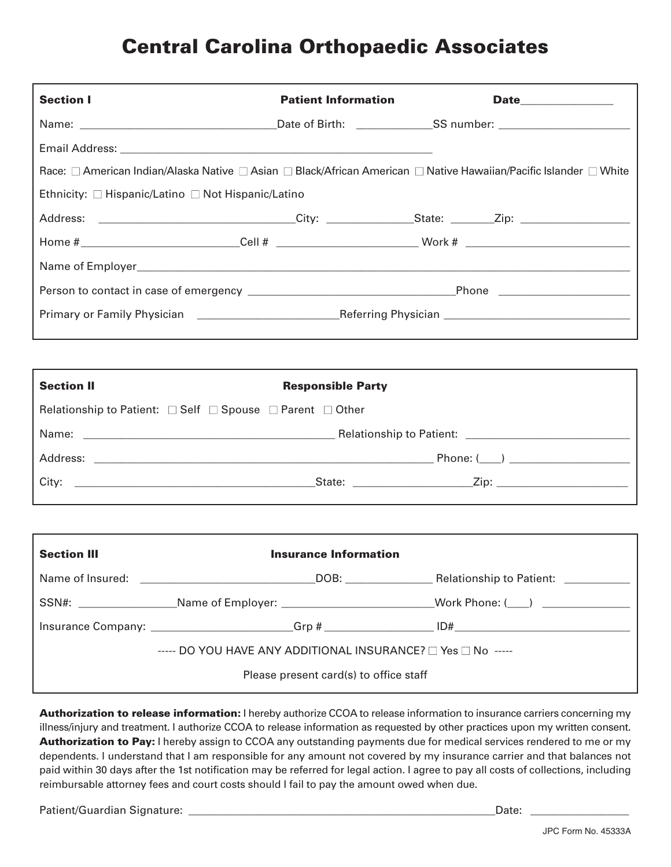## **Central Carolina Orthopaedic Associates**

| <b>Section I</b>                                          | <b>Patient Information</b>                                                                                                                                                                                                     |                                                                                                                   |  |
|-----------------------------------------------------------|--------------------------------------------------------------------------------------------------------------------------------------------------------------------------------------------------------------------------------|-------------------------------------------------------------------------------------------------------------------|--|
|                                                           |                                                                                                                                                                                                                                |                                                                                                                   |  |
|                                                           |                                                                                                                                                                                                                                |                                                                                                                   |  |
|                                                           |                                                                                                                                                                                                                                | Race: □ American Indian/Alaska Native □ Asian □ Black/African American □ Native Hawaiian/Pacific Islander □ White |  |
| Ethnicity: □ Hispanic/Latino □ Not Hispanic/Latino        |                                                                                                                                                                                                                                |                                                                                                                   |  |
|                                                           |                                                                                                                                                                                                                                | Address: ________________________________City: _________________State: _________Zip: ____________________         |  |
|                                                           |                                                                                                                                                                                                                                | Home #___________________________Cell # ____________________________Work # ______________________________         |  |
|                                                           |                                                                                                                                                                                                                                |                                                                                                                   |  |
|                                                           |                                                                                                                                                                                                                                |                                                                                                                   |  |
|                                                           |                                                                                                                                                                                                                                |                                                                                                                   |  |
|                                                           |                                                                                                                                                                                                                                |                                                                                                                   |  |
|                                                           |                                                                                                                                                                                                                                |                                                                                                                   |  |
| <b>Section II</b>                                         | <b>Responsible Party</b>                                                                                                                                                                                                       |                                                                                                                   |  |
| Relationship to Patient: □ Self □ Spouse □ Parent □ Other |                                                                                                                                                                                                                                |                                                                                                                   |  |
|                                                           | Name: 2006. [1] Relationship to Patient: 2006. [2] Relationship to Patient: 2006. [2] Patient: 2006. [2] Patient: 2006. [2] Patient: 2006. [2] Patient: 2007. [2] Patient: 2007. [2] Patient: 2007. [2] Patient: 2007. [2] Pat |                                                                                                                   |  |
|                                                           |                                                                                                                                                                                                                                |                                                                                                                   |  |
|                                                           |                                                                                                                                                                                                                                |                                                                                                                   |  |
|                                                           |                                                                                                                                                                                                                                |                                                                                                                   |  |
|                                                           |                                                                                                                                                                                                                                |                                                                                                                   |  |
| <b>Section III</b>                                        | <b>Insurance Information</b>                                                                                                                                                                                                   |                                                                                                                   |  |
|                                                           |                                                                                                                                                                                                                                |                                                                                                                   |  |
|                                                           |                                                                                                                                                                                                                                | SSN#: _______________________Name of Employer: _______________________________Work Phone: (___) ______________    |  |
|                                                           |                                                                                                                                                                                                                                |                                                                                                                   |  |
|                                                           | ----- DO YOU HAVE ANY ADDITIONAL INSURANCE? $\square$ Yes $\square$ No -----                                                                                                                                                   |                                                                                                                   |  |
| Please present card(s) to office staff                    |                                                                                                                                                                                                                                |                                                                                                                   |  |

**Authorization to release information:** I hereby authorize CCOA to release information to insurance carriers concerning my illness/injury and treatment. I authorize CCOA to release information as requested by other practices upon my written consent. **Authorization to Pay:** I hereby assign to CCOA any outstanding payments due for medical services rendered to me or my dependents. I understand that I am responsible for any amount not covered by my insurance carrier and that balances not paid within 30 days after the 1st notification may be referred for legal action. I agree to pay all costs of collections, including reimbursable attorney fees and court costs should I fail to pay the amount owed when due.

Patient/Guardian Signature: \_\_\_\_\_\_\_\_\_\_\_\_\_\_\_\_\_\_\_\_\_\_\_\_\_\_\_\_\_\_\_\_\_\_\_\_\_\_\_\_\_\_\_\_\_\_\_\_\_\_\_\_\_\_\_\_Date: \_\_\_\_\_\_\_\_\_\_\_\_\_\_\_\_\_\_